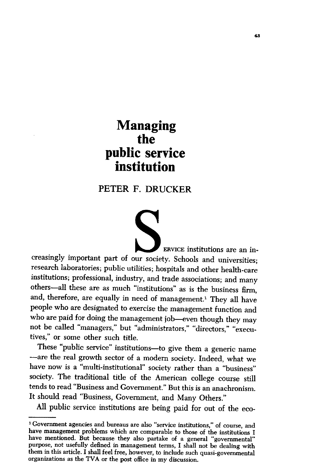# M**anaging the public service inst**i**tut**i**on**

## P**E**T**E**R F. DRUCKER

ERVICE institutions are an inc**r**easingly **i**mporta**n**t part o**f** our society. Schools and unive**r**s**i**ties; research laboratories; public utilities; hospitals and other health**-**care institutions; professional, industry, and trade associations; and many others--all these are as much "institutions" as is the business firm, and, therefore, are equally in need of management.<sup>1</sup> They all have people who are designated to exercise the management function and who are paid for doing the management job---even though they may not be called "managers," but "administrators*,*" "dir**e**ctors," "executives*,*" or some other such title.

These "public service" institutions--to give them a generic name --are the real growth se**c**tor o**f** a modern society. Indeed, what we have now is a "multi**-**institutional" society rather than a "busin**e**ss" society. The traditional title of the American college course still tends to read "Business and Government." But this is an anachronism. It should read "Business, Government, and Many Others."

All public servi**c**e institutions are being paid **f**or out of the eco**-**

<sup>1</sup>Government agencies and bureaus are also *"*'service institutions," o**f** course, and hav*e* management problems which are comparable to those o**f** the institutions I hav*e* mentioned. But because they also partake o**f** a general "governmental" purpose*,* not use**f**ully defined in management terms*,* I shall not be dealing with them in this article. I shall feel free, however*,* to include such quasi**-**governmental organizations as the TVA or the post office in my discussion.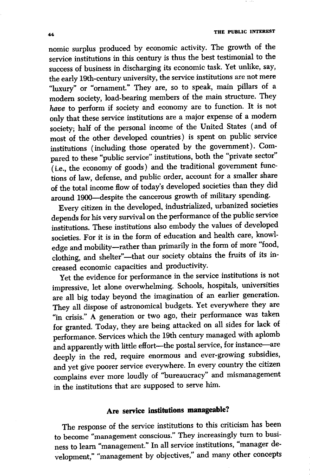nomic surplus produced by economic activity. The growth of the service institutions in this century is thus the best testimonial to the success of business in discharging its economic task. Yet unlike, *s*ay, the early 19th-century university, the service institutions are not mere<br>"luxury" or "ornament." They are, so to speak, main pillars of a modern society, load-bearing members of the main structure. They have to perform if society and economy are to function. It is not *only that these service institutions are a major expense of a modern* only that these service institutions are a ma**j**or expense of a modem society; half of the personal income of the United States (and of most of the other developed countries) is spent on public service institutions (including those operated by the government). Compared to these "public service" institutions, both the "private sector"  $p$  (i.e., the economy of goods) and the traditional government functions of law, defense, and public order, account for a smaller share tions of law, defense, and public order, account for a smaller share of the total income flow of today's developed *s*ocieties than they did around 1900—despite the cancerous growth of military spending.<br>Every citizen in the developed, industrialized, urbanized societies

depends for his very survival on the performance of the public service depends for his v*e*ry *s*urvival on the perf*o*rmance of the public service institutions. These institutions also embody the values of developed societies. For it is in the form of education and health care, knowledge and mobility—rather than primarily in the form of more "food, edge and mobility--rather than primarily in the form of mor*e* "food*,* clothing, and shelter ---that our society obtains the fruits of the theory creased economic capacities and productivity.<br>Yet the evidence for performance in the service institutions is not

impressive, let alone overwhelming. Schools, hospitals, universities are all big today beyond the imagination of an earlier generation. are all big today beyond the imagination of an earlier generation. They all dispose of astronomical budgets. Yet everywhere they are "in crisis." A generation or two ago, their performance was taken<br>for granted. Today, they are being attacked on all sides for lack of performance. Services which the 19th century managed with aplomb and apparently with little effort-the postal service, for instance-are deeply in the red, require enormous and ever-growing subsidies, and yet give poorer service everywhere. In every country the citizen and yet give poorer service everywhere. In every country the citizen complains ever more loudly of "bureaucracy" and mismanagement in the institutions that are supposed to serve him.

## **Are service institutions manageable?**

The response of the service institutions to this criticism has been to become "management conscious." They increasingly turn to busito become "management conscious." They increasingly turn to but ness to learn "management." In all service institutions, "manager" as Velopment," "management by ob**j**ectives," and many other concepts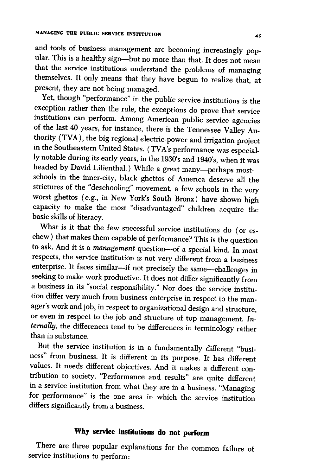and tools **o**f busin*e*ss management are becoming increasingly p**o**pular. This is a healthy sign--but no more than that. It does not mean that the service institutions understand the problems of managing themselves. It only means that they have begun to realize that, at present, they are not being managed.

Yet*,* though "performance" in the public service institutions is the exception rather than the rule, the exceptions do prove that service institutions can perf**o**rm. Among American public service agencies of the la*s*t 40 years, for instance, there is the Tenn*e*ssee Valley *A*uthority (TVA), the big regional electric-power and irrigation pro**j**ect in the South*e*astern United States. (TVA's performance was especially notable during its early years, in the 1930's and 1940's, when it was headed by David Lilienthal.) While a great many--perhaps mostschools in th**e** inner**-**city, black ghettos of America deserve all the strictures of the "deschooling" movement, a few schools in the very worst ghettos (e.g., in New York*'*s South Bronx) have shown high capacity to make the most "disadvantaged" children acquire the basic skills of literacy.

What is it that the few succ*e*ssful service institutions do (or eschew) that makes them capable of performance? This is th*e* question to ask. And it is a *management* question--of a special kind. In most respects, the service institution is not very different from a business enterprise. It faces similar--if not precisely the same--challenges in seeking to make work productive. It does not differ significantly from a business in its "social responsibility." Nor does the service institution differ very much from business enterprise in respect to the manager*'*s work and job, in respect to organizational design and structure, or ev*e*n in respect to the **j**ob and structure of top management. *Internally,* the differences tend to be differences in terminology rather than in substance.

But the s*e*rvice institution is in a fundamentally different "business" from business. It is different in its purpose. It has different values. It needs different objectives. And it makes a different contribution to society. "Performance and results" are quite different in a service institution from what they are in a business. "Managing for performance" is the one area in which the service institution differs significantly from a business.

## **Why service institutio**n**s do not perform**

There are three p**o**pular explanations for the common failure of service institutions to perform: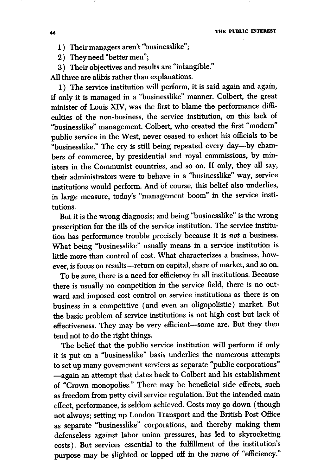- 2) **Th**ey **n**eed "**b**etter men";
- 3) Their objective*s* and re*s*ults are "intangible."

All three are alibis rather than explanations.<br>1) The service institution will perform, it is said again and again, 1 ) The service ins**ti**tution will per**f**orm, it is said again and again, If only it is managed in a "businesslike" manner. Colbert, the great minister of Louis XIV, was the first to blame the performance difficulti*es* **o**f th**e** n**o**n-bu*s*in*ess*, th*e s*ervi*ce* in*s***ti**tu**ti**on, on th*is* lack of "busine*s*slike" management. Colbert, who created the first "modern" public service in the West, never ceased to exhort his officials to be "busine*s*slike." The cry is s**ti**ll being repeated every day--by chambers of commerce, by presidential and royal commissions, by ministers in the Communist count**ri**es, and so on. If only*,* they all say*,* their administrators were to behave in a "businesslike" way, service institution*s* w*o*uld per**f**orm. And of course, this belief al*s*o und*e*rlies, in large measure, today's "management boom" in the service institutions.<br>But it is the wrong diagnosis; and being "businesslike" is the wrong

But it is the wrong diagnosis, and being "businessine" is the wrong prescription **f**or the ills of the service institution. The service institutio**n** ha*s* per**f**ormance trouble preci*s*ely becau*se* it i*s not* a bu*s*ine*ss*. What being "businesslike" usually means in a service institution little more than control of cost. What characterizes a business, however, is focus on results--return on capital, share of market, and so on.

To be sure, there is a need for efficiency in all institutions. Because there is usually no competition in the service field*,* there is no outward and imposed cost control on service institutions as there is  $\sim$ bu*s*ine*ss* in a competitive (and even an oligopoli*s*tic) market. *B*ut the basic problem of service institutions is not high cost but lack of effectiveness. They may be very efficient-some are. But they then tend not to do the right things.<br>The belief that the public service institution will perform if only

it is put on a "businesslike" basis underlies the numerous attempts  $i$ **o** set up many government services as separate "public corporations" to set up many government services as separate "public corporations" -again an attempt that dates back to Colbert and his establishment. of "Crown monopolies." There may be beneficial side effects, such as **f**reedom **f**rom petty civil service regulation. But the i**n**tended main effect, performance, is seldom achieved. Costs may go down (though not always; setting up London Transport and the British Post Oli as separat*e* "businesslike" corporations, and thereby making them defenseless against labor union pressures, has led to skyrocket costs). But servic**e**s essen**ti**al to the fulfillment of the institution*'*s purpose may be slighted or lopped off in the name of "efficiency."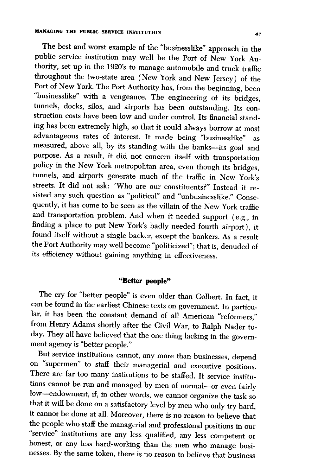The best and worst exam**p**le **o**f the "businesslike" appr**o**ach in the public service institution may well be the Port of New York Authority, set up in the 1920*"*s to manage automobile and truck traffic throughout the two-state area (New York and New Jersey) of the Port of New York. The Port Authority has, from the beginning, been "businesslike" with a vengeance. The engineering of its bridges, tunnels, docks, silos, and airports has been outstanding. Its construction costs have been low and under control. Its financial standing has been extremely high, so that it could always borrow at most advantageous rates of interest. It made being "businesslike"-as measured, above all, by its standing with the banks--its goal and purpose. A**s** a result, it did not concern itself with transportation policy in the New York metropolitan area, even though its bridges, tunnels, and airports generate much of the traffic in New York's streets. It did not ask: "Who are our constituents?" Instead it resisted any such question as "political" and "unbusinesslike." Consequently*,* it has come to be seen as the villain of the New York traffic and transportation probl*e*m. And when it needed support (e.g., in finding a place to put New York's badly needed **f**ourth airport)*,* it found itself without a single backer*,* except the bankers. As a result the Port Authority may well become "politicized"; that is, denuded of its efficiency without gaining anything in effectiveness.

### "**B**ett**er p**e**op**le"

The cry for "better pe**o**ple" is even older than C**o**lbert. In fact, it can be **f**ound in the earliest Chinese texts on government. In particular, it has been the constant demand of all American "reformers," from Henry Adams shortly after the Civil War, to Ralph Nader today. They all have believ*e*d that the one thing lacking in the government agency is "better people."

But service institutions cannot, any more than businesses, depend on "supermen" to staff their managerial and executive positions. There are far too many institutions to be staffed. If service institutions cannot be run and managed by men of normal-or even fairly low-**-**endowment, if, in other words, we cannot organize the task so that it will be done on a satisfactory level by men who only try hard, it cannot be done at all. Moreover, there is no reason to believe that the people who staff the managerial and pro**f**essional positions in our "service" institutions are any **l**ess qualified, any less competent or honest, or any less hard-working than the men who manage businesses. By the same token, there is no reason to believe that business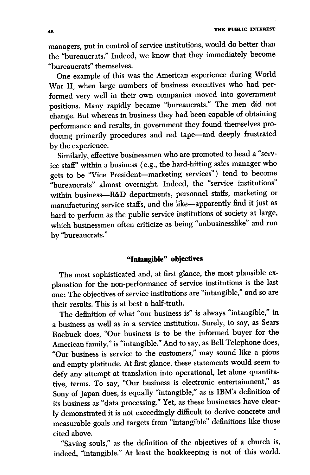managers, put in control of service in*s*titutions, would do better than the "bureaucrats." Indeed, we know that they immediately bec*o*me

"bureaucrats" themselves. One example of this was the American experience during Wo War II, when large number*s* o**f** business executives who had performed very well in their own companies moved into government positions. Many rapidly became "bureaucrats." The men did not change. But whereas in business they had been capable o**f** obtaining performance and results, in government they **f**ound themselves producing primarily procedures and red tape-and deeply frustrated by the experience.

Similarly, effective businessmen who are promoted to head a "service staff" within a business (e.g.*,* the hard-hitting sales manager who gets to be "Vice President--marketing services") tend to become "bureaucrats" almost overnight. Indeed*,* the "service institutions" within business--R&D departments, personnel staffs, marketing or manufacturing service *s*taffs**,** and the like--apparentl**y** find it ju*s*t as hard to perform as the public service institutions o**f** society at large, which businessmen o**f**ten criticize as being "unbusinesslike" and run by "bureaucrats."

### "**Intangible**" **objectives**

The most sophisticated and, at first glance, the most plausible explanation for the non-performance of service institutions is the last one: The objectives o**f** service institutions are "intangible," and so are their results. This is at best a half-truth.

The definition o**f** what "our business is" is always "intangible," in a business as well as in a service institution. Surely, to say, as Sears Roebuck does*,* "Our business is to be the informed buyer **f**or the American **f**amily," is "i**n**tangible." And to say, as Bell Telephone does, "Our bu*s*ine*ss* i*s s*ervice to th*e* cu*s*t*o*mer*s*," may sound like a pious and empty platitude. At first glance, these statements would seem to de**fy** an**y** attempt at translation into operational, let alon*e* quantitative, terms. To say, "Our business is electronic entertainment," as Sony of Japan does, is equally "intangible," as is IBM*'*s definition of its business as "data processing." Yet, as these businesses have clearly demonstrated it is not exceedingly difficult to derive concrete and measurable goals and targets from "intangible" definitions like those cited above.

"Saving souls," as the definition o**f** the objectives of a church is, indeed, "intangible." At least the bookkeeping is not of this world.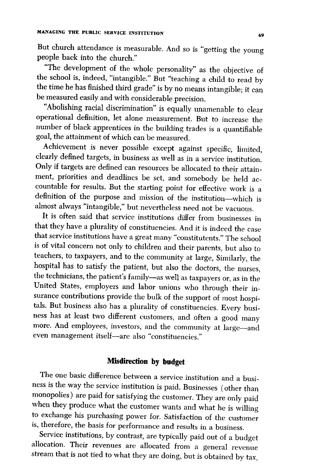But church attendance i**s** mea**s**urable**.** And **s**o i**s** "getting the young people back int**o** the church."

"The development of the whole personality" as the objective of the school is*,* indeed, "intangible." But "teaching a child to read by the time he has finished third grade" is by no means intangible; it can be measured easily and with considerable precision.

"Abolishing racial discrimination" is equally unamenable to clear operational definition, let alone measurement. But to increase the number of black apprentices in the building trades is a quantifiable goal, the attainment of which can be measured.

Achievement is never possible except against specific*,* limited, clearly defined targets, in business as well as in a service institution. Only if targets are defined can resources be allocated to their attainment, priorities and deadlines be set*,* and somebody be held accountable for results. But the starting point for effective work is a definition of the purpose and mission of the institution-which is almost always "intangible," but nevertheless need not be vacuous.

It is often said that service institutions differ from businesses in that they have a plurality of constituencies. And it is indeed the case that service institutions have a great many "constitutents." The school is of vital concern not only to children and their parents*,* but also to teachers, to taxpayers*,* and to the community at large*,* Similarly, the hospital has to satisfy the patient*,* but also the doctors, the nurses*,* the technicians*,* the patient's family--as well as taxpayers or*,* as in the United States, employers and labor unions who through their insurance contributions provide the bulk of the support of most hospitals. But business also has a plurality of constituencies. Every business has at least two different customers, and often a good many more. And employees, investors, and the community at large--and even management itself-are also "constituencies."

## **Misdirection by budget**

The one basic difference between a service institution and a business is the way the service institution is paid. Businesses (other than monopolies) are paid for satisfying the customer. They are only paid when they produce what the customer wants and what he is willing to exchange his purchasing power for. Satisfaction of the customer is, therefore, the basis for performance and results in a business.

Service institutions, by contrast*,* are typically paid out of a budget allocation. Their revenues are allocated from a general revenue stream that is not tied to what they are doing, but is obtained by tax*,*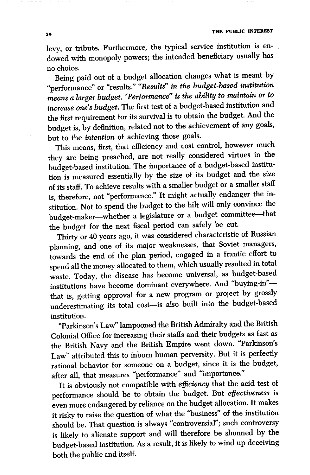levy, or tribute**. F**urthermore, the typical service institution is endowed with monopoly powers; the intended beneficiary usually has

no choice.<br>Being paid out of a budget allocation changes what is meant by "performance" or "results." "Results" in the budget-based institution  $\bar{m}$  means a larger budget. "Performance" is the ability to maintain or to increase one's budget. The first test of a budget-based institution and the first requirement for its survival is to obtain the budget. And the the first requirement for its survival is to obtain the budget. budget i*s*, by definition, related not to the achievement *o***f** any goals, but to th*e intention* of achieving those goals.

they are being preached, are not really considered virtues in the budget-based institution. The importance of a budget-based institubudget-based institution. The importance of a budget-based institution is measured essentially by the size of its budget and the size Of its staff. To achieve results with a smaller budget or  $\alpha$  smaller smaller is, therefore, not "performance." It might actually endanger the institution. Not to spend the budget to the hill will only convince budget-maker--whether a legislature or a budget comment the budget for the next fiscal period can safely be cut.<br>Thirty or 40 years ago, it was considered characteristic of Russian

planning, and one of its major weaknesses, that Soviet managers, planning, and one of its major weaknesses, that Soviet managers towards the end of the plan period, engaged in a france effort spend all the money allocated to them, which usually resulted in total institutions have become dominant everywhere. And "buying-in"-that is, getting approval for a new program or project by grossly that is, getting approval for a new program or pro**j**ect by grossly underestimating its total cost- $\frac{1}{2}$  also built into the budget-

institution.<br>"Parkinson's Law" lampooned the British Admiralty and the British Colonial Office for increasing their staffs and their budgets as fast as the British Navy and the British Empire went down. "Parkinson's Law" attributed this to inborn human perversity. But it is perfectly rational behavior for someone on a budget, since it is the budget, rational behavior for someone on a budget, since it is the budget, after all, that measures "performance" and "importance

It is obviously not compatible with *eff*i*ciency* that the acid test of performance should be to obtain the budget. But *effectiveness* i*s* even more endangered by reliance on the budget allocation. It makes It risky to raise the question of what the "business" of the institution should be. That question is always "controversial"; such controversy is likely to alienate support and will therefore be shunned by budget-based institution. *A*s a result, it is likely to wind up deceiving both the public and it*s*elf.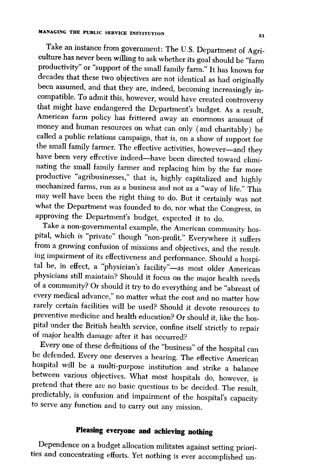Take an instance from government: The U.S. Department of Agriculture has never been w*i*lling to ask whether its goal should be "farm productivity" or "support of the small family farm." It has known for decades that these two objectives are not identical as had originally been assumed, and that they are, indeed*,* becoming increasingly incompatible. To admit this*,* however, would have created controversy that might have endangered the Department*'*s budget. As a result, American farm pol*i*cy has frittered away an enormous amount of money and human resources on what can only (and charitably) be called a public relations campaign*,* that is, on a show of support for the small family farmer. The effective activities, however--and they have been very effective indeed-have been directed toward eliminating the small fa*m*ily farmer and replacing him by the far more productive "agribusinesses," that is, highly capitalized and highly mechanized farms, run as a business and not as a "way of life.'" This may well have been the right thing to do. But it certainly was not what the Department was founded to do, nor what the Congress*,* in approving the Department*'*s budget, expected it to do.

Take a non-governmental example, the American community hospital, which is "private" though "non-profit." Everywhere it suffers from a growing confusion of missions and objectives, and the resulting impairment of its effectiveness and performance*.* Should a hospital be, in effect, a "physician's facility"-as most older American physicians still maintain? Should it focus on the major health needs of a community? Or should it try to do everything and be "abreast of every medical advance," no matter what the cost and no matter bow rarely certain facilities will be used? Should it devote resources to preventive medicine and health education? Or should it, like the hospital under the British health service, confine itself strictly to repair of major health damage after it has occurred?

Every one of these definitions of the "business" of the hospital can be defended. Every one deserves a hearing. The effective American hospital will be a multi-purpose institution and strike a balance between various objectives. What most hospitals do*,* however*,* is pretend that there are no basic questions to be decided. The result*,* predictably, is confusion and impairment of the hospital*'*s capacity to serve any function and to carry out any mission.

## **Pleasing everyone and achieving nothing**

Dependence on a budget allocation militates against setting priorities and concentrating efforts. Yet nothing is ever accomplished un-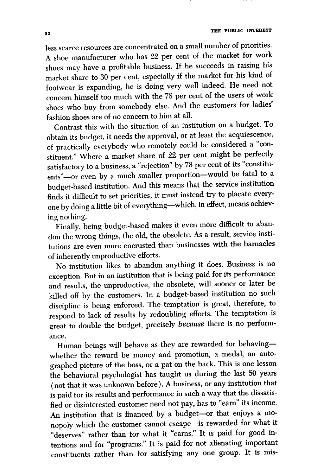less scarce res**o**urces a**r**e c**o**ncentrated **o**n a small number **o**f p**r**iorities. A shoe manufacturer who has 22 per cent of the market for we shoes may have a profitable business. If he succeeds in raising his market share to 30 per cent, especially if the market for his kind of concern himself too much with the 78 per cent of the users of work concern himself too much with the 78 per cent of the users of work shoes who buy from somebody else. And the customers for ladies fashion shoes are of no concern to him at all.

obtain its budget, it needs the approval, or at least the acquiescence, of practically everybody who remotely could be considered a "conof practically everybody who remotely could be considered a "constituent. Where a market share or  $22$  per cent might be perfect satisfactory to a business, a "rejection" by 78 per cent of its "constituents"—or even by a much smaller proportion—would be fatal to a ents ---or even by a much smaller proportion--would be father! budget-based institution. And this means that the service institution finds it difficult to set priorities; it must instead try to place  $\mathbb{R}^n$ . one by doing a little bit of everything—which, in effect, means achieve-

ing nothing.<br>Finally, being budget-based makes it even more difficult to abandon the wrong things, the old, the obsolete. As a result, service instidon the wrong things, the old, the obsolete. As a result, service institutions are even more encrusted than businesses with the barna of inherently unproductive efforts.<br>No institution likes to abandon anything it does. Business is no

exception. But in an institution that is being paid for its performance exception. But in an institution that is being paid for the performance and results, the unproductive, the obsolete, will sooner or later killed off by the customers. In a budget-based institution no such discipline is being enforced. The temptation is great, therefore, to respond to lack of results by redoubling efforts. The temptation is respond to lack of results by redoubling energy. The temptation great to d*o*uble the budget*,* preci*s*ely *because* there is n*o* performance.

Human beings will behave as they are rewarded for behaving-<br>whether the reward be money and promotion, a medal, an autographed picture of the boss, or a pat on the back. This is one lesson the behavioral psychologist has taught us during the last 50 years (not that it was unknown before). A business, or any institution that is paid for its results and performance in such a way that the dissatisis paid for its results and performance in such a way that the dissati*s*fied or disinterested customer need not pay, has to "earn" its income. An institution that is financed by a budget--or that enjoys a mo-<br>nopoly which the customer cannot escape--is rewarded for what it "deserves" rather than for what it "earns." It is paid for good intentions and for "programs." It is paid for not alienating important tentions and for programs. It is paid for not allegement of the constituents rather than for satisfying any on*e* group. It is mi*s*-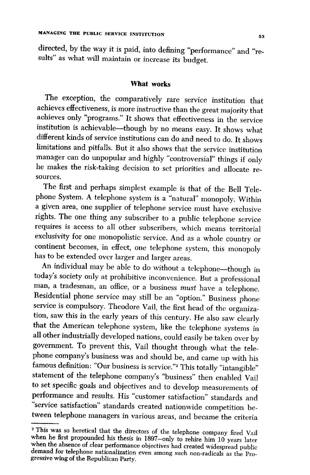directed*,* by the way it is paid*,* into defining "performance" and "results" as what will maintain or increase its budget.

#### **What works**

The e*x*cepti**o**n*,* the comparatively rare service instituti**o**n that achieves effectiveness*,* is more instructive than the gr*e*at ma**j**ority that achieves only "programs." It shows that effectiveness in the service institution is achievable--though by no means easy. It shows what different kinds of service institutions can do and need to do. It shows limitations and pitfalls. But it also shows that the service institution manager can do unpopular and highly "controversial" things if only he makes the risk-taking decision to set priorities and allocate resour**c***e*s**.**

The first and perhaps simplest example is that of the Bell Telephone System. A telephone system is a "natural" monopoly. Within a given area*,* one supplier of telephone service must have exclusive rights. The one thing any subscriber to a public telephone service requires is access to all other subscribers*,* which means territorial exclusivity for one monopolistic service. And as a whole country or continent becomes, in effect*,* one telephone system, this monopoly has to be extended over larger and larger areas.

An individual may be able to do without a telephone-though in today's society only at prohibitive inconvenience. But a professional man, a tradesman, an office*,* or a business *must* have a telephone. Residential phone service may still be an "option." Business phone service is compulsory. Theodore Vail*,* the first head of the organization, saw this in the early years of this century. He also saw clearly that the *A*merican telephone system*,* like the telephone systems in all other industrially developed nations, could easily be taken over by government. To prevent this, Vail thought through what the telephone company's business was and should be*,* and came up with his famous definition: "Our business is service. "2 This totally "intangible'*"* statement of the telephone company's "business" then enabled Vail to set specific goals and objectives and to develop measurements of performance and results. His "customer satisfaction" standards and "service satisfaction" standards created nationwide competition between telephone managers in various areas*,* and became the criteria

<sup>&</sup>lt;sup>2</sup> This was so heretical that the directors of the telephone company fired Vail when he first propounded his thesis in 1897-only to rehire him 10 years later when the absence of clear performance objectives had created widespread public demand for telephone nati*o*nalization even among such non-radicals as the Progressivewing of the Republican Party.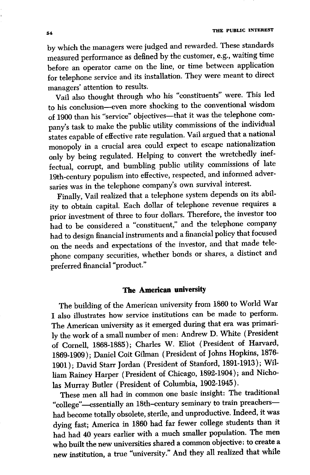by which the manage**r**s were **j**udged and rewarded. These standa**r**ds before an operator came on the line, or time between application before an operator came on the line, or time between application or telephone service and its installation. They were meant to directle

managers' attention to results.<br>Vail also thought through who his "constituents" were. This led to his conclusion—even more shocking to the conventional wisdom of 1900 than his "service" objectives--that it was the telephone comof 1900 than his "service" objectives--that it was the telephone company'*s* task to make the public utility c*o*mmis*s*i*o*ns of the individual states capable of effective rate regulation. Vail argued that a national monopoly in a crucial area could expect to escape nationalization only by being regulated. Helping to convert the wretchedly infectual, corrupt, and bumbling public utility commissions of late 19th-century populism into effective, respected, and inforuaed adversaries was in the telephone company's own survival interest.

Finally, Vail realized that a telephone system depends on its abil-<br>ity to obtain capital. Each dollar of telephone revenue requires a prior investment of three to four dollars. Therefore, the investor too had to be considered a "constituent," and the telephone company had to be considered a "constituent," and the telephone company had to design financial instruments and a financial policy that focused on the needs and expectations of the investor, and that made telephone company *s*ecuritie*s*, whether b**o**nds or share*s*, a di*s*tinct and preferred financial "product."

### **T***h***e American university**

**T**he building of the American university f**ro**m 186**0** to W**or**ld Wa**r I also illustrat**e**s** h**o**w **servi**c**e institutions** c**an** h**e ma**d**e to per**f**orm. T**he **Am**eric**an uni**ver*s***ity as it** e**m***e***rg**e**d during t**h**at era** w**as pri**m**ariof Cornell, 1868-1885); Charles W. Eliot (President of Harvard,**  $1869-1909$ ); Daniel Coit Gilman (President of Johns Hopkins, 1876-1**8**6**9-**1**909** )**; Dani**e**l Coit Gilman (Pr**e**sid**e**nt o**f J**o**h**ns Hopkins***,* 1**876-** 19**0**1 **); David Starr** J**ordan (Pr**e**sid**e**nt o**f **Stan**f**ord,** 1**89**1-1**9**13**);** Wil**liam** Rainey Harper (**President of Circuge**, 1992, 1994); **and President las Murray** *B***utl**e**r** (**Pr**e**si**de**nt o**f **Colum**b**ia,** 1**90**2**-**1**945**).

"college"-essentially an 18th-century seminary to train preachershad become totally obsolete, sterile, and unproductive. Indeed, it was dying fast; America in 1860 had far fewer college students than it had had 40 years earlier with a much smaller population. The men h**ad** h**ad 40 y**e**ars** e**arli**e**r wit**h **a mu**ch **smaller population. The men w**h**o** b**uilt t**he **new univ**e**rsiti**e**s s**ha**red a** c**ommon o**b**je**cti**v**e**: to** c**reate a n**ew **in***s***titu**ti**on, a tru**e "**univ**er**sity.**" **An**d **t**h*e***y all realiz**e**d t**h**at w**h**il**e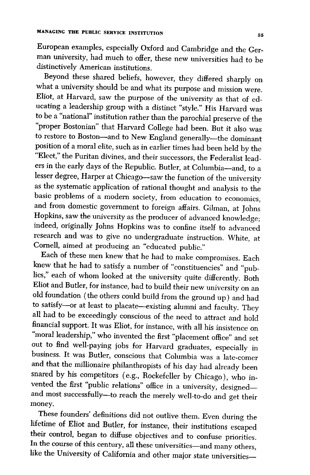European exa**m**ple**s**, e**s**pecially Ox**f**ord and **C**ambridge and the German university, had much to offer, these new universities had to be distinctively American institutions.

Beyond these shared beliefs, however*,* they differed sharply on what a university should be and what its purpose and mission were. Eliot, at *H*arvard, saw the purpose o**f** the university as that o**f** educating a leadership group with a distinct "style." His Harvard was to be a "national" institution rather than the parochial preserve of the "proper Bostonian" that Harvard College had been. But it also was to restore to Boston-and to New England generally--the dominant position o**f** a moral elite*,* such as in earlier times had been held by the "Elect," the Puritan divines*,* and their successors, the Federalist leaders in the early days o**f** the **R**epublic. Butler*,* at Columbia--and, to a lesser degree, Harper at Chicago-saw the function of the university as the systematic application of rational thought and analysis to the basic problems of a modem society, **f**rom education to economics*,* and **f**rom domestic government to **f**oreig**n** affairs. Gilman, at Johns *H*opkins, saw the university as the producer o**f** advanced knowledge; indeed, originally Johns Hopkins was to confine itself to advanced research and was to give no undergraduate instruction. White, at Cornell*,* aimed at producing an "educated public."

Each of these men knew that he had to make compr**o**mises. Each knew that he had to satis**f**y a number o**f** "constituencies" and "publics," each o**f** whom looked at the university quite differently. Both Eliot and Butler, **f**or instance*,* had to build their new university on an old **f**oundation (the others could build from the ground up ) and had to satisfy---or at least to placate---existing alumni and faculty. They all had to be exceedingly conscious of the need to attract and hold fi**n**ancial support. It was Eliot, **f**or instance, with all his insistence on "moral leadership*,*" who invented the first "placement off**i**ce" and set out to find well-paying jobs **f**or Harvard graduates*,* especially in business. It was Butler, conscious that Columbia was a late-comer and that the millionaire philanthropists of his day had already been snared by his competitors (e.g., Rocke**f**eller by Chicago), who invented the first "public relations" office in a university, designedand most success**f**ully--to reach the merely well-to-do and get their money.

These founders' definitions did not outlive them. Even during the li**f**etime o**f** Eliot and Butler, **f**or instance, their institutions escaped their control, began to diffuse ob*j*ectives and to con**f**use priorities. In the course of this century, all these universities-and many others, like the University of Cali**f**ornia and other major state universities**--**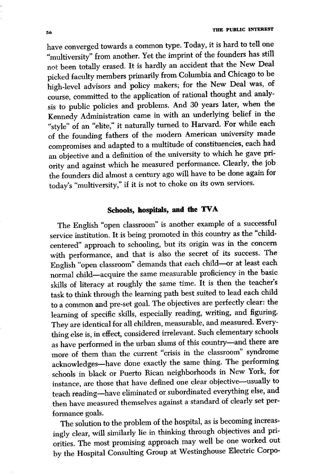ave converged towards a common type. Today, it is hard to the tell multiversity" from another. Fet the imprint of the founders has some not been totally erased. It is hardly an accident that the *N*ew *D*eal high-level advisors and policy makers; for the New Deal was, of high-level advisors and policy makers; for the New Deal was, course, committed to the application of rational thought and analysis to public policies and problems. *A*nd 30 years later, when th*e* "style" of an "elite," it naturally turned to Harvard. For while each of the founding fathers of the modern American university made compromises and adapted to a multitude of constituencies, each had an objective and a definition of the university to which he gave priority and against which he measured performance. Clearly, the job ority and against which he measured performance. Clearly, the job the founders did almost a century ago will have to be done again for today'*s* "multiversity," if it is not to choke on its own *s*ervices.

## **S**c**hools***,* **hospi***t***als, and th**e **TVA**

The English "op**e**n classr**o**om" is another example of a succe*ss***f**ul service institution. It is being promoted in this country as the "childcentered" approach to schooling, but its origin was in the concern English "open classroom" demands that each child-or at least each normal child-acquire the same measurable proficiency in the basic skills of literacy at roughly the same time. It is then the teacher's task to think through the learning path best suited to lead each child to a common and pre-set goal. The objectives are perfectly clear: the learning of specific skills, especially reading, writing, and figuring. They are identical for all children, measurable, and measured. Every-They are identical for all children*,* measurable, and measured. Everyth*i*ng else *i*s, *i*n effect, cons*i*dered irrelevant. Such elementary schools as have performed in the urban slums of this country--and there are more of them than the current "crisis in the classroom" syndrome acknowledges-have done exactly the same thing. The performance schools in black or Puerto Rican neighborhoods in New York, for instance, are those that have defined one clear objective--usually to teach reading-have eliminated or subordinated every along early then have measured themselves against a standard of clearly set per-<br>formance goals.

The solution to the problem of the hospital, as is becoming increasingly clear, will similarly lie in thinking through objectives and priorities. The most promising approach may well be one worked out orities. The most promising approach may well be one worked out by the Hospital C*o*nsulting Group at Westingh*o*use Electric Corpo-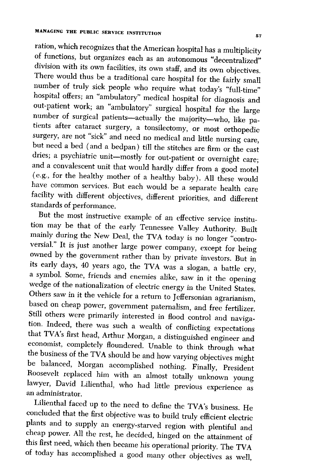rati**o**n, which recognizes that the American h**o**spital has a multiplicity of functions, but organizes each as an autonomous "decentralized" division with its own facilities*,* its own staff*,* and its own objectives. There would thus be a traditional care hospital for the fairly small number of truly sick people who require what today's "full-time" hospital offers; an "ambulatory" medical hospital for diagnosis and out-patient w**o**rk; an "ambulatory" surgical hospital for the large number of surgical patients--actually the majority--who, like patients after cataract surgery*,* a tonsilectomy, or most orthopedic surgery, are not "sick" and need no medical and little nursing care, but need a bed (and a bedpan) till the stitches are firm or the cast dries; a psychiatric unit--mostly for out-patient or overnight care; and a convalescent unit that would hardly differ from a good motel (e.g.*,* for the healthy mother of a healthy baby). All these would have common services. But each would be a separate health care facility with different objectives, different priorities, and diffe**r**ent standards of performance.

But the most instructive example of an effective service institution may be that of the early Tennessee Valley Authority. Built mainly during the New Deal, the TVA today is no longer "controversial." It is just another large power company, except for being owned by the government rather than by private investors. But in its early days, 40 years ago*,* the TVA was a slogan*,* a battle cry*,* a symbol. Some, friends and enemies alike*,* saw in it the opening wedge of the nationalization of electric energy in the United States. Others saw in it the vehicle for a return to Jeffersonian agrarianism, based on cheap power, government paternalism*,* and free fertilizer. Still others were primarily interested in flood control and navigation. Indeed, there was such a wealth of conflicting expectations that TVA*'*s first head, Arthur Morgan, a distinguished engineer and economist*,* completely floundered. Unable to think through what the business of the TVA should be and how varying objectives might be balanced, Morgan accomplished nothing. Finally, President Roosevelt replaced him with an almost totally unknown young lawyer*,* David Lilienthal*,* who had little previous experience as an administrator.

Lilienthal faced up to the need to define the TVA's business. He concluded that the first objective was to build truly efficient electric plants and to supply an energy-starved region with plentiful and cheap power. All the rest*,* he decided, hinged on the attainment of this first need, which then became his operational priority. The TVA of today has accomplished a good many other objectives as well,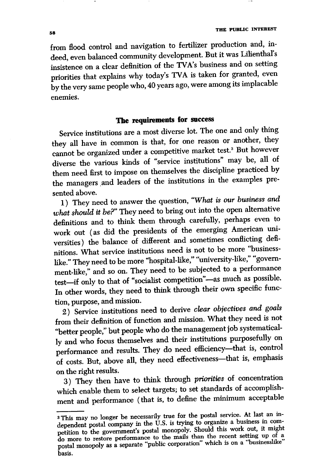f**r**om fl**o**od cont**r**ol and **n**a**vi**gati**o**n to fe**rt**ilizer pr**o**ducti**o**n **a**nd, ininsistence on a clear definition of the TVA's business and on setting priorities that explains why today's TVA is taken for granted, even p**riori**tie**s** t**ha**t **ex**p**lains why** t**oday's TVA is** t**aken** f**or gran**t**ed, even by** t**h**e **very same** p**eople who, 40 years ago, w**e**re among i**t**s im**p**lacable enemies.**

**The requirements for success**<br>Service institutions are a most diverse lot. The one and only thing they all have in common is that, for one reason or another, they **k** cannot be organized under a competitive market test.<sup>3</sup> But however diverse the various kinds of "service institutions" may be, all of  $\mathbf{f}$  them need first to impose on themselves the discipline practiced by them ne**e**d first t**o** impose on themselves the discipli**n**e practi**c**ed b**y** the managers and leaders of the institutions in the example of  $\mathbf{r}$ sented above.

1) They need to answer the question, "What is our business and what should it be?" They need to bring out into the open alternative *definitions* and to think them through carefully, perhaps even to work out (as did the presidents of the emerging American universities) the balance of different and sometimes conflicting defiversities) the balance of different and sometimes compared to nitions. What service institu**ti**ons need is not to be more "businesslike." They need to be more "hospital-like," "university-like," "govern-<br>ment-like," and so on. They need to be subjected to a performance test-if only to that of "socialist competition"-as much as possible. test--if **on**l**y** t**o** th**a**t **o**f "soci**a**list competiti**o**n"---as **m**uch as p**o**ss**i**ble**.** In other words, they need to think through their own specific **function** 

tion, purpose, and mission.<br>2) Service institutions need to derive *clear objectives and goals* from their definition of function and mission. What they need is not "better people," but people who do the management job systematically and who focus themselves and their institutions purposefully on performance and results. They do need efficiency---that is, control performance and results. They do need effect that is, comp of costs. But, abov*e* all, they n*e*ed effec**ti**ven*e*ss that is*,* emphasis

on the right results.<br>3) They then have to think through *priorities* of concentration 3) They then have to think through pr*iorities* of concentration which enable them to select targets, to set standards of account ment and performance (that is, to define the minimum ac**c**eptable

<sup>3</sup>This **m**a**y no** l**onge**r be **n**e**c**essaril**y** true **fo**r t**h**e p**o**stal servi**c**e. **A**t last an inpetition to the government's postal monopoly. Should this work out, it might do more to restore performance to the mails than the recent setting up of a do more to restore performance to the mains than the recent setting  $\frac{1}{\tau}$ postal monopoly as a separate "public corporation" which is on a "busine" basis.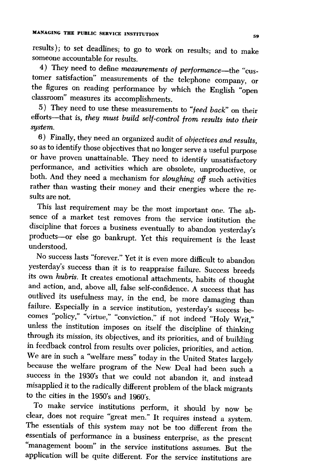re**s**ults); to set deadlines; to go to work on results; and t**o** make someone accountable for results.

4) They need to define *measurements* of *performance*—the "customer satisfaction" measurements of the telephone company, or the figur*e*s on reading performance by which the English "open classroom" measures its accomplishments.

5) They need to use th*e*se measurements to "f*eed back*" on th*e*ir efforts--that is, *they must build self*-*control from results into their system*.

6) Finally, they need an organized audit of *objectives and results,* so as to identify those obiectives that no longer serve a useful purpose or have proven unattainable. They need to identify unsatisfactory performance, and activities which are obsolete*,* unproductive, or both. And they need a mechanism for *sloughing off* such activities rather than wasting their money and their energies where the results are not.

This last requirement may be the most important one. The absence of a market test removes from the service institution the discipline that forces a business eventually to abandon yesterday's products--or else go bankrupt. Yet this requirement is the least understood.

No success lasts "forever." Yet it is even more difficult to abandon yesterday*'*s success than it is to reappraise failure. Success breeds its own *hubris*. It creates emotional attachments, habits of thought and action, and*,* above all, false self-confidence. A success that has outlived its usefulness may, in the end, be more damaging than failure. Especially in a service institution*,* yesterday's success becomes "policy," "virtue," "conviction," if not indeed "*H*oly Writ," unless the institution imposes on itself the discipline of thinking through its mission, its obiectives, and its priorities, and of building in feedback control from results over policies, priorities, and action. We are in such a "welfare mess" today in the United States largely because the welfare program of the New Deal had been such a success in the 1930's that we could not abandon it, and instead misapplied it to the radically different problem of the black migrants to the cities in the 1950*'*s and 1960*'*s.

To make service institutions perform, it should by now be clear, does not require "great men." It requires instead a system. The essentials of this system may not be too different from the essentials of performance in a business enterprise, as the present "management boom" in the service institutions assumes. *B*ut the application will be quite different. For the service institutions are